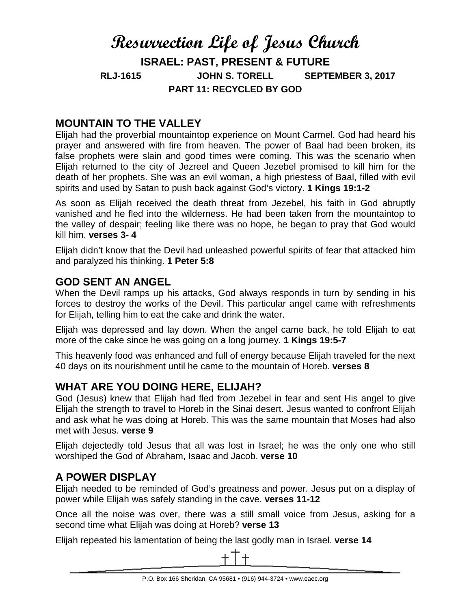# **Resurrection Life of Jesus Church ISRAEL: PAST, PRESENT & FUTURE RLJ-1615 JOHN S. TORELL SEPTEMBER 3, 2017 PART 11: RECYCLED BY GOD**

## **MOUNTAIN TO THE VALLEY**

Elijah had the proverbial mountaintop experience on Mount Carmel. God had heard his prayer and answered with fire from heaven. The power of Baal had been broken, its false prophets were slain and good times were coming. This was the scenario when Elijah returned to the city of Jezreel and Queen Jezebel promised to kill him for the death of her prophets. She was an evil woman, a high priestess of Baal, filled with evil spirits and used by Satan to push back against God's victory. **1 Kings 19:1-2**

As soon as Elijah received the death threat from Jezebel, his faith in God abruptly vanished and he fled into the wilderness. He had been taken from the mountaintop to the valley of despair; feeling like there was no hope, he began to pray that God would kill him. **verses 3- 4**

Elijah didn't know that the Devil had unleashed powerful spirits of fear that attacked him and paralyzed his thinking. **1 Peter 5:8**

### **GOD SENT AN ANGEL**

When the Devil ramps up his attacks, God always responds in turn by sending in his forces to destroy the works of the Devil. This particular angel came with refreshments for Elijah, telling him to eat the cake and drink the water.

Elijah was depressed and lay down. When the angel came back, he told Elijah to eat more of the cake since he was going on a long journey. **1 Kings 19:5-7**

This heavenly food was enhanced and full of energy because Elijah traveled for the next 40 days on its nourishment until he came to the mountain of Horeb. **verses 8**

## **WHAT ARE YOU DOING HERE, ELIJAH?**

God (Jesus) knew that Elijah had fled from Jezebel in fear and sent His angel to give Elijah the strength to travel to Horeb in the Sinai desert. Jesus wanted to confront Elijah and ask what he was doing at Horeb. This was the same mountain that Moses had also met with Jesus. **verse 9**

Elijah dejectedly told Jesus that all was lost in Israel; he was the only one who still worshiped the God of Abraham, Isaac and Jacob. **verse 10**

## **A POWER DISPLAY**

Elijah needed to be reminded of God's greatness and power. Jesus put on a display of power while Elijah was safely standing in the cave. **verses 11-12**

Once all the noise was over, there was a still small voice from Jesus, asking for a second time what Elijah was doing at Horeb? **verse 13**

Elijah repeated his lamentation of being the last godly man in Israel. **verse 14**

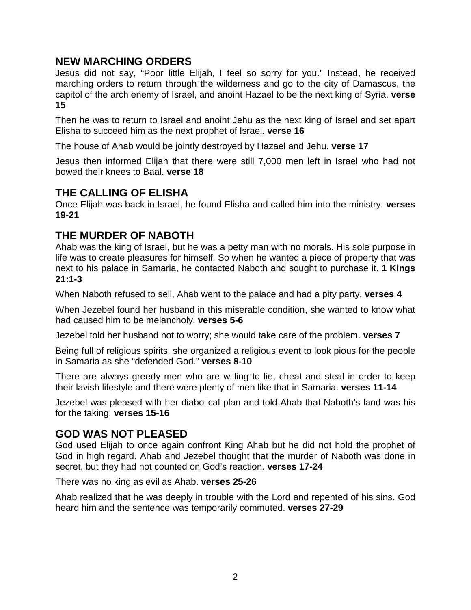### **NEW MARCHING ORDERS**

Jesus did not say, "Poor little Elijah, I feel so sorry for you." Instead, he received marching orders to return through the wilderness and go to the city of Damascus, the capitol of the arch enemy of Israel, and anoint Hazael to be the next king of Syria. **verse 15**

Then he was to return to Israel and anoint Jehu as the next king of Israel and set apart Elisha to succeed him as the next prophet of Israel. **verse 16**

The house of Ahab would be jointly destroyed by Hazael and Jehu. **verse 17**

Jesus then informed Elijah that there were still 7,000 men left in Israel who had not bowed their knees to Baal. **verse 18**

#### **THE CALLING OF ELISHA**

Once Elijah was back in Israel, he found Elisha and called him into the ministry. **verses 19-21**

### **THE MURDER OF NABOTH**

Ahab was the king of Israel, but he was a petty man with no morals. His sole purpose in life was to create pleasures for himself. So when he wanted a piece of property that was next to his palace in Samaria, he contacted Naboth and sought to purchase it. **1 Kings 21:1-3**

When Naboth refused to sell, Ahab went to the palace and had a pity party. **verses 4**

When Jezebel found her husband in this miserable condition, she wanted to know what had caused him to be melancholy. **verses 5-6**

Jezebel told her husband not to worry; she would take care of the problem. **verses 7**

Being full of religious spirits, she organized a religious event to look pious for the people in Samaria as she "defended God." **verses 8-10**

There are always greedy men who are willing to lie, cheat and steal in order to keep their lavish lifestyle and there were plenty of men like that in Samaria. **verses 11-14**

Jezebel was pleased with her diabolical plan and told Ahab that Naboth's land was his for the taking. **verses 15-16**

#### **GOD WAS NOT PLEASED**

God used Elijah to once again confront King Ahab but he did not hold the prophet of God in high regard. Ahab and Jezebel thought that the murder of Naboth was done in secret, but they had not counted on God's reaction. **verses 17-24**

There was no king as evil as Ahab. **verses 25-26**

Ahab realized that he was deeply in trouble with the Lord and repented of his sins. God heard him and the sentence was temporarily commuted. **verses 27-29**